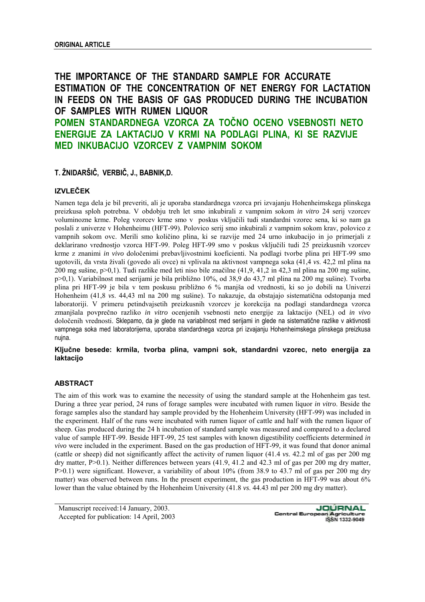**THE IMPORTANCE OF THE STANDARD SAMPLE FOR ACCURATE ESTIMATION OF THE CONCENTRATION OF NET ENERGY FOR LACTATION IN FEEDS ON THE BASIS OF GAS PRODUCED DURING THE INCUBATION OF SAMPLES WITH RUMEN LIQUOR POMEN STANDARDNEGA VZORCA ZA TOČNO OCENO VSEBNOSTI NETO ENERGIJE ZA LAKTACIJO V KRMI NA PODLAGI PLINA, KI SE RAZVIJE MED INKUBACIJO VZORCEV Z VAMPNIM SOKOM** 

# **T. ŽNIDARŠIČ, VERBIČ, J., BABNIK,D.**

# **IZVLEČEK**

Namen tega dela je bil preveriti, ali je uporaba standardnega vzorca pri izvajanju Hohenheimskega plinskega preizkusa sploh potrebna. V obdobju treh let smo inkubirali z vampnim sokom *in vitro* 24 serij vzorcev voluminozne krme. Poleg vzorcev krme smo v poskus vključili tudi standardni vzorec sena, ki so nam ga poslali z univerze v Hohenheimu (HFT-99). Polovico serij smo inkubirali z vampnim sokom krav, polovico z vampnih sokom ovc. Merili smo količino plina, ki se razvije med 24 urno inkubacijo in jo primerjali z deklarirano vrednostjo vzorca HFT-99. Poleg HFT-99 smo v poskus vključili tudi 25 preizkusnih vzorcev krme z znanimi *in vivo* določenimi prebavljivostnimi koeficienti. Na podlagi tvorbe plina pri HFT-99 smo ugotovili, da vrsta živali (govedo ali ovce) ni vplivala na aktivnost vampnega soka (41,4 *vs*. 42,2 ml plina na 200 mg sušine, p>0,1). Tudi razlike med leti niso bile značilne (41,9, 41,2 in 42,3 ml plina na 200 mg sušine, p>0,1). Variabilnost med serijami je bila približno 10%, od 38,9 do 43,7 ml plina na 200 mg sušine). Tvorba plina pri HFT-99 je bila v tem poskusu približno 6 % manjša od vrednosti, ki so jo dobili na Univerzi Hohenheim (41,8 *vs*. 44,43 ml na 200 mg sušine). To nakazuje, da obstajajo sistematična odstopanja med laboratoriji. V primeru petindvajsetih preizkusnih vzorcev je korekcija na podlagi standardnega vzorca zmanjšala povprečno razliko *in vitro* ocenjenih vsebnosti neto energije za laktacijo (NEL) od *in vivo* določenih vrednosti. Sklepamo, da je glede na variabilnost med serijami in glede na sistematične razlike v aktivnosti vampnega soka med laboratorijema, uporaba standardnega vzorca pri izvajanju Hohenheimskega plinskega preizkusa nujna.

**Ključne besede: krmila, tvorba plina, vampni sok, standardni vzorec, neto energija za laktacijo** 

# **ABSTRACT**

The aim of this work was to examine the necessity of using the standard sample at the Hohenheim gas test. During a three year period, 24 runs of forage samples were incubated with rumen liquor *in vitro*. Beside the forage samples also the standard hay sample provided by the Hohenheim University (HFT-99) was included in the experiment. Half of the runs were incubated with rumen liquor of cattle and half with the rumen liquor of sheep. Gas produced during the 24 h incubation of standard sample was measured and compared to a declared value of sample HFT-99. Beside HFT-99, 25 test samples with known digestibility coefficients determined *in vivo* were included in the experiment. Based on the gas production of HFT-99, it was found that donor animal (cattle or sheep) did not significantly affect the activity of rumen liquor (41.4 *vs*. 42.2 ml of gas per 200 mg dry matter, P>0.1). Neither differences between years (41.9, 41.2 and 42.3 ml of gas per 200 mg dry matter, P>0.1) were significant. However, a variability of about 10% (from 38.9 to 43.7 ml of gas per 200 mg dry matter) was observed between runs. In the present experiment, the gas production in HFT-99 was about 6% lower than the value obtained by the Hohenheim University (41.8 *vs*. 44.43 ml per 200 mg dry matter).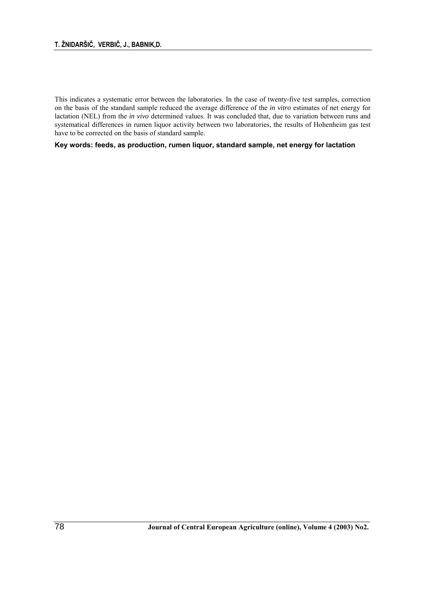This indicates a systematic error between the laboratories. In the case of twenty-five test samples, correction on the basis of the standard sample reduced the average difference of the *in vitro* estimates of net energy for lactation (NEL) from the *in vivo* determined values. It was concluded that, due to variation between runs and systematical differences in rumen liquor activity between two laboratories, the results of Hohenheim gas test have to be corrected on the basis of standard sample.

**Key words: feeds, as production, rumen liquor, standard sample, net energy for lactation**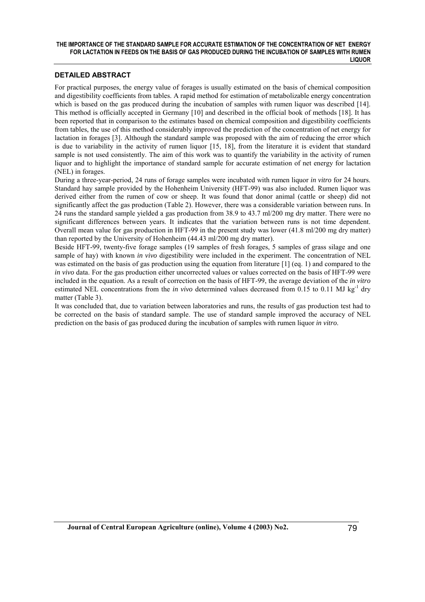#### **THE IMPORTANCE OF THE STANDARD SAMPLE FOR ACCURATE ESTIMATION OF THE CONCENTRATION OF NET ENERGY FOR LACTATION IN FEEDS ON THE BASIS OF GAS PRODUCED DURING THE INCUBATION OF SAMPLES WITH RUMEN LIQUOR**

# **DETAILED ABSTRACT**

For practical purposes, the energy value of forages is usually estimated on the basis of chemical composition and digestibility coefficients from tables. A rapid method for estimation of metabolizable energy concentration which is based on the gas produced during the incubation of samples with rumen liquor was described [14]. This method is officially accepted in Germany [10] and described in the official book of methods [18]. It has been reported that in comparison to the estimates based on chemical composition and digestibility coefficients from tables, the use of this method considerably improved the prediction of the concentration of net energy for lactation in forages [3]. Although the standard sample was proposed with the aim of reducing the error which is due to variability in the activity of rumen liquor [15, 18], from the literature it is evident that standard sample is not used consistently. The aim of this work was to quantify the variability in the activity of rumen liquor and to highlight the importance of standard sample for accurate estimation of net energy for lactation (NEL) in forages.

During a three-year-period, 24 runs of forage samples were incubated with rumen liquor *in vitro* for 24 hours. Standard hay sample provided by the Hohenheim University (HFT-99) was also included. Rumen liquor was derived either from the rumen of cow or sheep. It was found that donor animal (cattle or sheep) did not significantly affect the gas production (Table 2). However, there was a considerable variation between runs. In 24 runs the standard sample yielded a gas production from 38.9 to 43.7 ml/200 mg dry matter. There were no significant differences between years. It indicates that the variation between runs is not time dependent. Overall mean value for gas production in HFT-99 in the present study was lower (41.8 ml/200 mg dry matter) than reported by the University of Hohenheim (44.43 ml/200 mg dry matter).

Beside HFT-99, twenty-five forage samples (19 samples of fresh forages, 5 samples of grass silage and one sample of hay) with known *in vivo* digestibility were included in the experiment. The concentration of NEL was estimated on the basis of gas production using the equation from literature [1] (eq. 1) and compared to the *in vivo* data. For the gas production either uncorrected values or values corrected on the basis of HFT-99 were included in the equation. As a result of correction on the basis of HFT-99, the average deviation of the *in vitro* estimated NEL concentrations from the *in vivo* determined values decreased from 0.15 to 0.11 MJ kg<sup>-1</sup> dry matter (Table 3).

It was concluded that, due to variation between laboratories and runs, the results of gas production test had to be corrected on the basis of standard sample. The use of standard sample improved the accuracy of NEL prediction on the basis of gas produced during the incubation of samples with rumen liquor *in vitro*.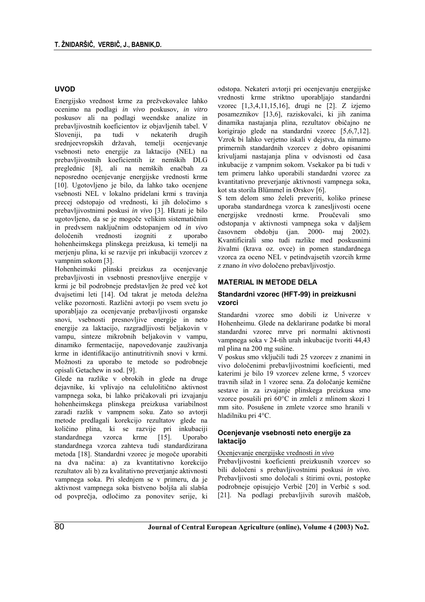# **UVOD**

Energijsko vrednost krme za prežvekovalce lahko ocenimo na podlagi *in vivo* poskusov*, in vitro* poskusov ali na podlagi weendske analize in prebavljivostnih koeficientov iz objavljenih tabel. V Sloveniji, pa tudi v nekaterih drugih srednjeevropskih državah, temelji ocenjevanje vsebnosti neto energije za laktacijo (NEL) na prebavljivostnih koeficientih iz nemških DLG preglednic [8], ali na nemških enačbah za neposredno ocenjevanje energijske vrednosti krme [10]. Ugotovljeno je bilo, da lahko tako ocenjene vsebnosti NEL v lokalno pridelani krmi s travinja precej odstopajo od vrednosti, ki jih določimo s prebavljivostnimi poskusi *in vivo* [3]. Hkrati je bilo ugotovljeno, da se je mogoče velikim sistematičnim in predvsem naključnim odstopanjem od *in vivo* določenih vrednosti izogniti z uporabo hohenheimskega plinskega preizkusa, ki temelji na merjenju plina, ki se razvije pri inkubaciji vzorcev z vampnim sokom [3].

Hohenheimski plinski preizkus za ocenjevanje prebavljivosti in vsebnosti presnovljive energije v krmi je bil podrobneje predstavljen že pred več kot dvajsetimi leti [14]. Od takrat je metoda deležna velike pozornosti. Različni avtorji po vsem svetu jo uporabljajo za ocenjevanje prebavljivosti organske snovi, vsebnosti presnovljive energije in neto energije za laktacijo, razgradljivosti beljakovin v vampu, sinteze mikrobnih beljakovin v vampu, dinamiko fermentacije, napovedovanje zauživanja krme in identifikacijo antinutritivnih snovi v krmi. Možnosti za uporabo te metode so podrobneje opisali Getachew in sod. [9].

Glede na razlike v obrokih in glede na druge dejavnike, ki vplivajo na celulolitično aktivnost vampnega soka, bi lahko pričakovali pri izvajanju hohenheimskega plinskega preizkusa variabilnost zaradi razlik v vampnem soku. Zato so avtorji metode predlagali korekcijo rezultatov glede na količino plina, ki se razvije pri inkubaciji standardnega vzorca krme [15]. Uporabo standardnega vzorca zahteva tudi standardizirana metoda [18]. Standardni vzorec je mogoče uporabiti na dva načina: a) za kvantitativno korekcijo rezultatov ali b) za kvalitativno preverjanje aktivnosti vampnega soka. Pri slednjem se v primeru, da je aktivnost vampnega soka bistveno boljša ali slabša od povprečja, odločimo za ponovitev serije, ki

odstopa. Nekateri avtorji pri ocenjevanju energijske vrednosti krme striktno uporabljajo standardni vzorec [1,3,4,11,15,16], drugi ne [2]. Z izjemo posameznikov [13,6], raziskovalci, ki jih zanima dinamika nastajanja plina, rezultatov običajno ne korigirajo glede na standardni vzorec [5,6,7,12]. Vzrok bi lahko verjetno iskali v dejstvu, da nimamo primernih standardnih vzorcev z dobro opisanimi krivuljami nastajanja plina v odvisnosti od časa inkubacije z vampnim sokom. Vsekakor pa bi tudi v tem primeru lahko uporabili standardni vzorec za kvantitativno preverjanje aktivnosti vampnega soka, kot sta storila Blümmel in Ørskov [6].

S tem delom smo želeli preveriti, koliko prinese uporaba standardnega vzorca k zanesljivosti ocene energijske vrednosti krme. Proučevali smo odstopanja v aktivnosti vampnega soka v daljšem časovnem obdobju (jan. 2000- maj 2002). Kvantificirali smo tudi razlike med poskusnimi živalmi (krava oz. ovce) in pomen standardnega vzorca za oceno NEL v petindvajsetih vzorcih krme z znano *in vivo* določeno prebavljivostjo.

# **MATERIAL IN METODE DELA**

### **Standardni vzorec (HFT-99) in preizkusni vzorci**

Standardni vzorec smo dobili iz Univerze v Hohenheimu. Glede na deklarirane podatke bi moral standardni vzorec mrve pri normalni aktivnosti vampnega soka v 24-tih urah inkubacije tvoriti 44,43 ml plina na 200 mg sušine.

V poskus smo vključili tudi 25 vzorcev z znanimi in vivo določenimi prebavljivostnimi koeficienti, med katerimi je bilo 19 vzorcev zelene krme, 5 vzorcev travnih silaž in 1 vzorec sena. Za določanje kemične sestave in za izvajanje plinskega preizkusa smo vzorce posušili pri 60°C in zmleli z mlinom skozi 1 mm sito. Posušene in zmlete vzorce smo hranili v hladilniku pri 4°C.

# **Ocenjevanje vsebnosti neto energije za laktacijo**

### Ocenjevanje energijske vrednosti *in vivo*

Prebavljivostni koeficienti preizkusnih vzorcev so bili določeni s prebavljivostnimi poskusi *in vivo*. Prebavljivosti smo določali s štirimi ovni, postopke podrobneje opisujejo Verbič [20] in Verbič s sod. [21]. Na podlagi prebavljivih surovih maščob,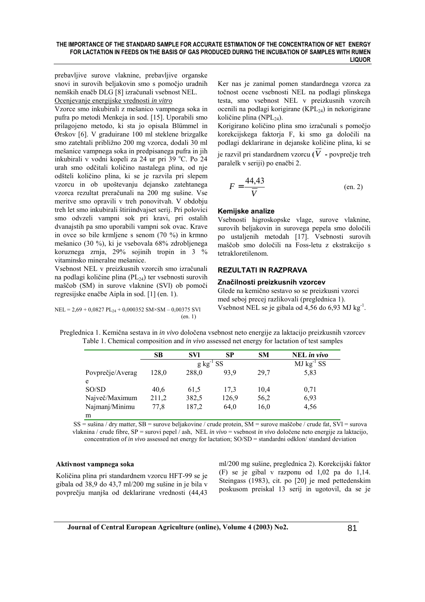prebavljive surove vlaknine, prebavljive organske snovi in surovih beljakovin smo s pomočjo uradnih nemških enačb DLG [8] izračunali vsebnost NEL.

Ocenjevanje energijske vrednosti *in vitro*

Vzorce smo inkubirali z mešanico vampnega soka in pufra po metodi Menkeja in sod. [15]. Uporabili smo prilagojeno metodo, ki sta jo opisala Blümmel in Ørskov [6]. V graduirane 100 ml steklene brizgalke smo zatehtali približno 200 mg vzorca, dodali 30 ml mešanice vampnega soka in predpisanega pufra in jih inkubirali v vodni kopeli za 24 ur pri 39 °C. Po 24 urah smo odčitali količino nastalega plina, od nje odšteli količino plina, ki se je razvila pri slepem vzorcu in ob upoštevanju dejansko zatehtanega vzorca rezultat preračunali na 200 mg sušine. Vse meritve smo opravili v treh ponovitvah. V obdobju treh let smo inkubirali štiriindvajset serij. Pri polovici smo odvzeli vampni sok pri kravi, pri ostalih dvanajstih pa smo uporabili vampni sok ovac. Krave in ovce so bile krmljene s senom (70 %) in krmno mešanico (30 %), ki je vsebovala 68% zdrobljenega koruznega zrnja, 29% sojinih tropin in 3 % vitaminsko mineralne mešanice.

Vsebnost NEL v preizkusnih vzorcih smo izračunali na podlagi količine plina ( $PL_{24}$ ) ter vsebnosti surovih maščob (SM) in surove vlaknine (SVl) ob pomoči regresijske enačbe Aipla in sod. [1] (en. 1).

 $NEL = 2,69 + 0,0827 PL_{24} + 0,000352 SM \times SM - 0,00375 SU1$ (en. 1)

Ker nas je zanimal pomen standardnega vzorca za točnost ocene vsebnosti NEL na podlagi plinskega testa, smo vsebnost NEL v preizkusnih vzorcih ocenili na podlagi korigirane ( $KPL_{24}$ ) in nekorigirane količine plina (NPL $_{24}$ ).

Korigirano količino plina smo izračunali s pomočjo korekcijskega faktorja F, ki smo ga določili na podlagi deklarirane in dejanske količine plina, ki se je razvil pri standardnem vzorcu **(***V* **-** povprečje treh paralelk v seriji) po enačbi 2.

$$
F = \frac{44,43}{\overline{V}}
$$
 (en. 2)

# **Kemijske analize**

Vsebnosti higroskopske vlage, surove vlaknine, surovih beljakovin in surovega pepela smo določili po ustaljenih metodah [17]. Vsebnosti surovih maščob smo določili na Foss-letu z ekstrakcijo s tetrakloretilenom.

# **REZULTATI IN RAZPRAVA**

# **Značilnosti preizkusnih vzorcev**

Glede na kemično sestavo so se preizkusni vzorci med seboj precej razlikovali (preglednica 1). Vsebnost NEL se je gibala od 4,56 do 6,93 MJ kg<sup>-1</sup>.

| Preglednica 1. Kemična sestava in <i>in vivo</i> določena vsebnost neto energije za laktacijo preizkusnih vzorcev |                                                                                                    |  |  |
|-------------------------------------------------------------------------------------------------------------------|----------------------------------------------------------------------------------------------------|--|--|
|                                                                                                                   | Table 1. Chemical composition and <i>in vivo</i> assessed net energy for lactation of test samples |  |  |

|                  | <b>SB</b> | <b>SVI</b>     | <b>SP</b> | <b>SM</b> | NEL in vivo              |
|------------------|-----------|----------------|-----------|-----------|--------------------------|
|                  |           | $g kg^{-1} SS$ |           |           | $MJ$ kg <sup>-1</sup> SS |
| Povprečje/Averag | 128,0     | 288,0          | 93.9      | 29.7      | 5,83                     |
| e                |           |                |           |           |                          |
| SO/SD            | 40,6      | 61.5           | 17.3      | 10.4      | 0,71                     |
| Največ/Maximum   | 211,2     | 382,5          | 126,9     | 56,2      | 6,93                     |
| Najmanj/Minimu   | 77.8      | 187,2          | 64,0      | 16,0      | 4,56                     |
| m                |           |                |           |           |                          |

SS = sušina / dry matter, SB = surove beljakovine / crude protein, SM = surove maščobe / crude fat, SVl = surova vlaknina / crude fibre, SP = surovi pepel / ash, NEL *in vivo* = vsebnost *in vivo* določene neto energije za laktacijo, concentration of *in vivo* assessed net energy for lactation; SO/SD = standardni odklon/ standard deviation

### **Aktivnost vampnega soka**

Količina plina pri standardnem vzorcu HFT-99 se je gibala od 38,9 do 43,7 ml/200 mg sušine in je bila v povprečju manjša od deklarirane vrednosti (44,43 ml/200 mg sušine, preglednica 2). Korekcijski faktor (F) se je gibal v razponu od 1,02 pa do 1,14. Steingass (1983), cit. po [20] je med pettedenskim poskusom preiskal 13 serij in ugotovil, da se je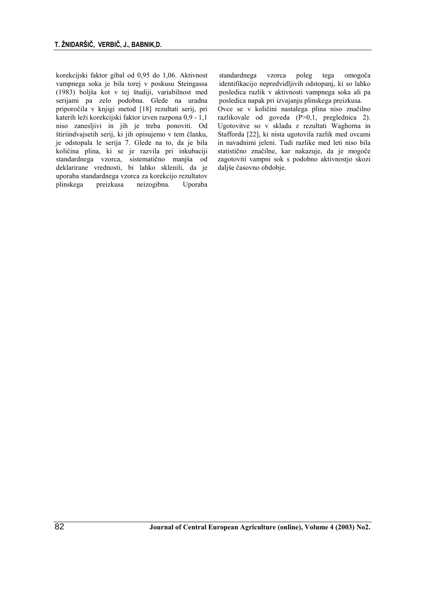korekcijski faktor gibal od 0,95 do 1,06. Aktivnost vampnega soka je bila torej v poskusu Steingassa (1983) boljša kot v tej študiji, variabilnost med serijami pa zelo podobna. Glede na uradna priporočila v knjigi metod [18] rezultati serij, pri katerih leži korekcijski faktor izven razpona 0,9 - 1,1 niso zanesljivi in jih je treba ponoviti. Od štiriindvajsetih serij, ki jih opisujemo v tem članku, je odstopala le serija 7. Glede na to, da je bila količina plina, ki se je razvila pri inkubaciji standardnega vzorca, sistematično manjša od deklarirane vrednosti, bi lahko sklenili, da je uporaba standardnega vzorca za korekcijo rezultatov plinskega preizkusa neizogibna. Uporaba

standardnega vzorca poleg tega omogoča identifikacijo nepredvidljivih odstopanj, ki so lahko posledica razlik v aktivnosti vampnega soka ali pa posledica napak pri izvajanju plinskega preizkusa. Ovce se v količini nastalega plina niso značilno razlikovale od goveda (P>0,1, preglednica 2). Ugotovitve so v skladu z rezultati Waghorna in Stafforda [22], ki nista ugotovila razlik med ovcami in navadnimi jeleni. Tudi razlike med leti niso bila statistično značilne, kar nakazuje, da je mogoče zagotoviti vampni sok s podobno aktivnostjo skozi daljše časovno obdobje.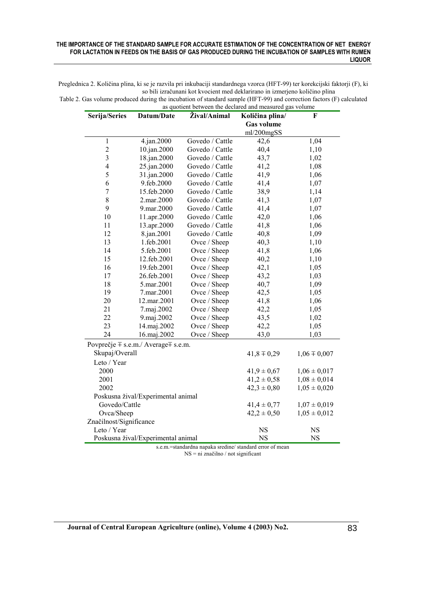Preglednica 2. Količina plina, ki se je razvila pri inkubaciji standardnega vzorca (HFT-99) ter korekcijski faktorji (F), ki so bili izračunani kot kvocient med deklarirano in izmerjeno količino plina

| Serija/Series                                | Datum/Date  | as quotient between the declared and measured gas volume<br>Žival/Animal | Količina plina/   | F                |  |
|----------------------------------------------|-------------|--------------------------------------------------------------------------|-------------------|------------------|--|
|                                              |             |                                                                          | <b>Gas volume</b> |                  |  |
|                                              |             |                                                                          | ml/200mgSS        |                  |  |
| $\mathbf{1}$                                 | 4.jan.2000  | Govedo / Cattle                                                          | 42,6              | 1,04             |  |
| $\overline{c}$                               | 10.jan.2000 | Govedo / Cattle                                                          | 40,4              | 1,10             |  |
| $\overline{\mathbf{3}}$                      | 18.jan.2000 | Govedo / Cattle                                                          | 43,7              | 1,02             |  |
| $\overline{\mathbf{4}}$                      | 25.jan.2000 | Govedo / Cattle                                                          | 41,2              | 1,08             |  |
| 5                                            | 31.jan.2000 | Govedo / Cattle                                                          | 41,9              | 1,06             |  |
| 6                                            | 9.feb.2000  | Govedo / Cattle                                                          | 41,4              | 1,07             |  |
| $\overline{7}$                               | 15.feb.2000 | Govedo / Cattle                                                          | 38,9              | 1,14             |  |
| 8                                            | 2.mar.2000  | Govedo / Cattle                                                          | 41,3              | 1,07             |  |
| 9                                            | 9.mar.2000  | Govedo / Cattle                                                          | 41,4              | 1,07             |  |
| 10                                           | 11.apr.2000 | Govedo / Cattle                                                          | 42,0              | 1,06             |  |
| 11                                           | 13.apr.2000 | Govedo / Cattle                                                          | 41,8              | 1,06             |  |
| 12                                           | 8.jan.2001  | Govedo / Cattle                                                          | 40,8              | 1,09             |  |
| 13                                           | 1.feb.2001  | Ovce / Sheep                                                             | 40,3              | 1,10             |  |
| 14                                           | 5.feb.2001  | Ovce / Sheep                                                             | 41,8              | 1,06             |  |
| 15                                           | 12.feb.2001 | Ovce / Sheep                                                             | 40,2              | 1,10             |  |
| 16                                           | 19.feb.2001 | Ovce / Sheep                                                             | 42,1              | 1,05             |  |
| 17                                           | 26.feb.2001 | Ovce / Sheep                                                             | 43,2              | 1,03             |  |
| 18                                           | 5.mar.2001  | Ovce / Sheep                                                             | 40,7              | 1,09             |  |
| 19                                           | 7.mar.2001  | Ovce / Sheep                                                             | 42,5              | 1,05             |  |
| 20                                           | 12.mar.2001 | Ovce / Sheep                                                             | 41,8              | 1,06             |  |
| 21                                           | 7.maj.2002  | Ovce / Sheep                                                             | 42,2              | 1,05             |  |
| 22                                           | 9.maj.2002  | Ovce / Sheep                                                             | 43,5              | 1,02             |  |
| 23                                           | 14.maj.2002 | Ovce / Sheep                                                             | 42,2              | 1,05             |  |
| 24                                           | 16.maj.2002 | Ovce / Sheep                                                             | 43,0              | 1,03             |  |
| Povprečje $\mp$ s.e.m./ Average $\mp$ s.e.m. |             |                                                                          |                   |                  |  |
| Skupaj/Overall                               |             |                                                                          | $41,8 \pm 0,29$   | $1,06 \pm 0,007$ |  |
| Leto / Year                                  |             |                                                                          |                   |                  |  |
| 2000                                         |             |                                                                          | $41,9 \pm 0,67$   | $1,06 \pm 0,017$ |  |
| 2001                                         |             |                                                                          | $41,2 \pm 0,58$   | $1,08 \pm 0,014$ |  |
| 2002                                         |             |                                                                          | $42,3 \pm 0,80$   | $1,05 \pm 0,020$ |  |
| Poskusna žival/Experimental animal           |             |                                                                          |                   |                  |  |
| Govedo/Cattle                                |             | $41,4 \pm 0,77$                                                          | $1,07 \pm 0,019$  |                  |  |
| Ovca/Sheep                                   |             | $42,2 \pm 0,50$                                                          | $1,05 \pm 0,012$  |                  |  |
| Značilnost/Significance                      |             |                                                                          |                   |                  |  |
| Leto / Year                                  |             |                                                                          | <b>NS</b>         | <b>NS</b>        |  |
| Poskusna žival/Experimental animal           |             |                                                                          | <b>NS</b>         | <b>NS</b>        |  |

Table 2. Gas volume produced during the incubation of standard sample (HFT-99) and correction factors (F) calculated as quotient between the declared and measured gas volume

s.e.m.=standardna napaka sredine/ standard error of mean

NS = ni značilno / not significant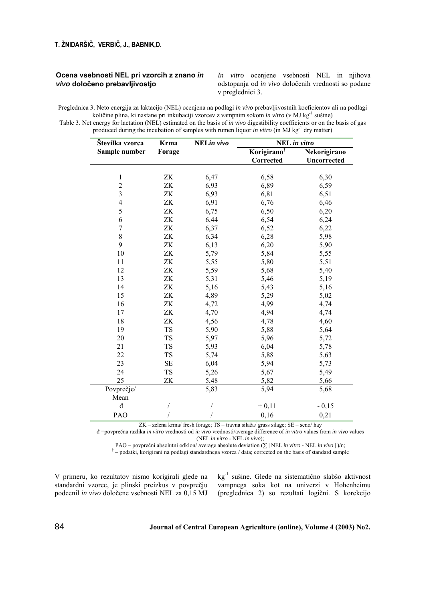#### **Ocena vsebnosti NEL pri vzorcih z znano** *in vivo* **določeno prebavljivostjo**

*In vitro* ocenjene vsebnosti NEL in njihova odstopanja od *in vivo* določenih vrednosti so podane v preglednici 3.

Preglednica 3. Neto energija za laktacijo (NEL) ocenjena na podlagi *in vivo* prebavljivostnih koeficientov ali na podlagi količine plina, ki nastane pri inkubaciji vzorcev z vampnim sokom *in vitro* (v MJ kg-1 sušine) Table 3. Net energy for lactation (NEL) estimated on the basis of *in vivo* digestibility coefficients or on the basis of gas

produced during the incubation of samples with rumen liquor *in vitro* (in MJ kg-1 dry matter)

| Številka vzorca<br>Sample number | <b>Krma</b>   | NELin vivo | NEL in vitro                         |                                    |  |
|----------------------------------|---------------|------------|--------------------------------------|------------------------------------|--|
|                                  | Forage        |            | Korigirano <sup>†</sup><br>Corrected | Nekorigirano<br><b>Uncorrected</b> |  |
|                                  |               |            |                                      |                                    |  |
| 1                                | ZK            | 6,47       | 6,58                                 | 6,30                               |  |
| $\overline{c}$                   | $Z\mathrm{K}$ | 6,93       | 6,89                                 | 6,59                               |  |
| $\mathfrak{Z}$                   | ZK            | 6,93       | 6,81                                 | 6,51                               |  |
| $\overline{4}$                   | $Z\mathrm{K}$ | 6,91       | 6,76                                 | 6,46                               |  |
| 5                                | ZK            | 6,75       | 6,50                                 | 6,20                               |  |
| 6                                | ZK            | 6,44       | 6,54                                 | 6,24                               |  |
| $\tau$                           | ZK            | 6,37       | 6,52                                 | 6,22                               |  |
| $\,8\,$                          | ZK            | 6,34       | 6,28                                 | 5,98                               |  |
| 9                                | ZK            | 6,13       | 6,20                                 | 5,90                               |  |
| 10                               | $Z\mathrm{K}$ | 5,79       | 5,84                                 | 5,55                               |  |
| 11                               | ZK            | 5,55       | 5,80                                 | 5,51                               |  |
| 12                               | ZK            | 5,59       | 5,68                                 | 5,40                               |  |
| 13                               | ${\rm ZK}$    | 5,31       | 5,46                                 | 5,19                               |  |
| 14                               | $Z\mathrm{K}$ | 5,16       | 5,43                                 | 5,16                               |  |
| 15                               | ${\rm ZK}$    | 4,89       | 5,29                                 | 5,02                               |  |
| 16                               | ZK            | 4,72       | 4,99                                 | 4,74                               |  |
| 17                               | ${\rm ZK}$    | 4,70       | 4,94                                 | 4,74                               |  |
| 18                               | ZK            | 4,56       | 4,78                                 | 4,60                               |  |
| 19                               | <b>TS</b>     | 5,90       | 5,88                                 | 5,64                               |  |
| 20                               | <b>TS</b>     | 5,97       | 5,96                                 | 5,72                               |  |
| 21                               | TS            | 5,93       | 6,04                                 | 5,78                               |  |
| 22                               | TS            | 5,74       | 5,88                                 | 5,63                               |  |
| 23                               | $\rm SE$      | 6,04       | 5,94                                 | 5,73                               |  |
| 24                               | <b>TS</b>     | 5,26       | 5,67                                 | 5,49                               |  |
| 25                               | ZK            | 5,48       | 5,82                                 | 5,66                               |  |
| Povprečje/<br>Mean               |               | 5,83       | 5,94                                 | 5,68                               |  |
| đ                                |               | 1          | $+0,11$                              | $-0,15$                            |  |
| PAO                              |               |            | 0,16                                 | 0,21                               |  |

ZK – zelena krma/ fresh forage; TS – travna silaža/ grass silage; SE – seno/ hay

đ =povprečna razlika *in vitro* vrednosti od *in vivo* vrednosti/average difference of *in vitro* values from *in vivo* values (NEL *in vitro* - NEL *in vivo*);

PAO – povprečni absolutni odklon/ average absolute deviation (∑ | NEL *in vitro* - NEL *in vivo* | )/n;

† – podatki, korigirani na podlagi standardnega vzorca / data; corrected on the basis of standard sample

V primeru, ko rezultatov nismo korigirali glede na standardni vzorec, je plinski preizkus v povprečju podcenil *in vivo* določene vsebnosti NEL za 0,15 MJ kg-1 sušine. Glede na sistematično slabšo aktivnost vampnega soka kot na univerzi v Hohenheimu (preglednica 2) so rezultati logični. S korekcijo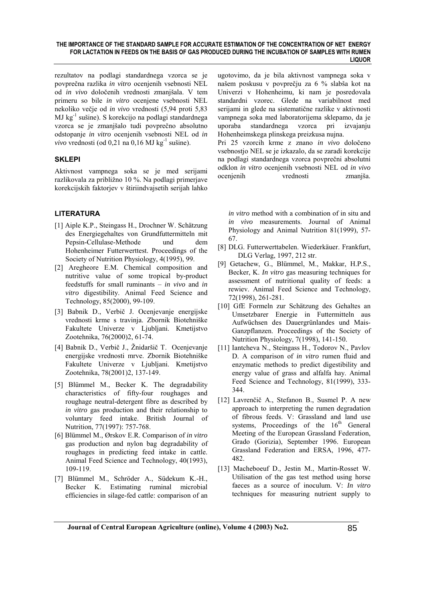rezultatov na podlagi standardnega vzorca se je povprečna razlika *in vitro* ocenjenih vsebnosti NEL od *in vivo* določenih vrednosti zmanjšala. V tem primeru so bile *in vitro* ocenjene vsebnosti NEL nekoliko večje od *in vivo* vrednosti (5,94 proti 5,83 MJ kg-1 sušine). S korekcijo na podlagi standardnega vzorca se je zmanjšalo tudi povprečno absolutno odstopanje *in vitro* ocenjenih vsebnosti NEL od *in vivo* vrednosti (od 0,21 na 0,16 MJ kg<sup>-1</sup> sušine).

# **SKLEPI**

Aktivnost vampnega soka se je med serijami razlikovala za približno 10 %. Na podlagi primerjave korekcijskih faktorjev v štiriindvajsetih serijah lahko

# **LITERATURA**

- [1] Aiple K.P., Steingass H., Drochner W. Schätzung des Energiegehaltes von Grundfuttermitteln mit Pepsin-Cellulase-Methode und dem Hohenheimer Futterwerttest. Proceedings of the Society of Nutrition Physiology, 4(1995), 99.
- [2] Aregheore E.M. Chemical composition and nutritive value of some tropical by-product feedstuffs for small ruminants – *in vivo* and *in vitro* digestibility. Animal Feed Science and Technology, 85(2000), 99-109.
- [3] Babnik D., Verbič J. Ocenjevanje energijske vrednosti krme s travinja. Zbornik Biotehniške Fakultete Univerze v Ljubljani. Kmetijstvo Zootehnika, 76(2000)2, 61-74.
- [4] Babnik D., Verbič J., Žnidaršič T. Ocenjevanje energijske vrednosti mrve. Zbornik Biotehniške Fakultete Univerze v Ljubljani. Kmetijstvo Zootehnika, 78(2001)2, 137-149.
- [5] Blümmel M., Becker K. The degradability characteristics of fifty-four roughages and roughage neutral-detergent fibre as described by *in vitro* gas production and their relationship to voluntary feed intake. British Journal of Nutrition, 77(1997): 757-768.
- [6] Blümmel M., Ørskov E.R. Comparison of *in vitro* gas production and nylon bag degradability of roughages in predicting feed intake in cattle. Animal Feed Science and Technology, 40(1993), 109-119.
- [7] Blümmel M., Schröder A., Südekum K.-H., Becker K. Estimating ruminal microbial efficiencies in silage-fed cattle: comparison of an

ugotovimo, da je bila aktivnost vampnega soka v našem poskusu v povprečju za 6 % slabša kot na Univerzi v Hohenheimu, ki nam je posredovala standardni vzorec. Glede na variabilnost med serijami in glede na sistematične razlike v aktivnosti vampnega soka med laboratorijema sklepamo, da je uporaba standardnega vzorca pri izvajanju Hohenheimskega plinskega preizkusa nujna. Pri 25 vzorcih krme z znano *in vivo* določeno

vsebnostjo NEL se je izkazalo, da se zaradi korekcije na podlagi standardnega vzorca povprečni absolutni odklon *in vitro* ocenjenih vsebnosti NEL od *in vivo* ocenjenih vrednosti zmanjša.

*in vitro* method with a combination of in situ and *in vivo* measurements. Journal of Animal Physiology and Animal Nutrition 81(1999), 57- 67.

- [8] DLG. Futterwerttabelen. Wiederkäuer. Frankfurt, DLG Verlag, 1997, 212 str.
- [9] Getachew, G., Blümmel, M., Makkar, H.P.S., Becker, K. *In vitro* gas measuring techniques for assessment of nutritional quality of feeds: a rewiev. Animal Feed Science and Technology, 72(1998), 261-281.
- [10] GfE Formeln zur Schätzung des Gehaltes an Umsetzbarer Energie in Futtermitteln aus Aufwüchsen des Dauergrünlandes und Mais-Ganzpflanzen. Proceedings of the Society of Nutrition Physiology, 7(1998), 141-150.
- [11] Iantcheva N., Steingass H., Todorov N., Pavlov D. A comparison of *in vitro* rumen fluid and enzymatic methods to predict digestibility and energy value of grass and alfalfa hay. Animal Feed Science and Technology, 81(1999), 333- 344.
- [12] Lavrenčič A., Stefanon B., Susmel P. A new approach to interpreting the rumen degradation of fibrous feeds. V: Grassland and land use systems, Proceedings of the  $16<sup>th</sup>$  General Meeting of the European Grassland Federation, Grado (Gorizia), September 1996. European Grassland Federation and ERSA, 1996, 477- 482.
- [13] Macheboeuf D., Jestin M., Martin-Rosset W. Utilisation of the gas test method using horse faeces as a source of inoculum. V: *In vitro* techniques for measuring nutrient supply to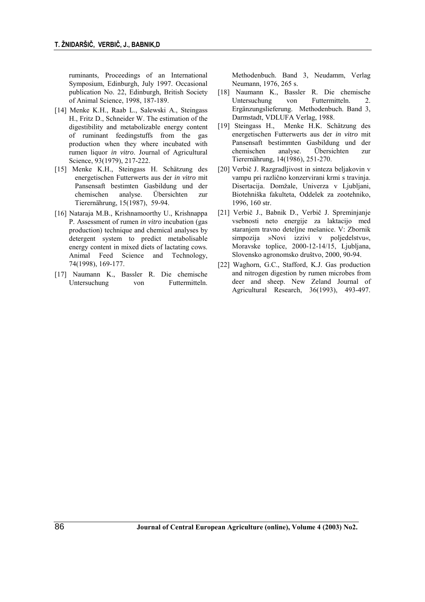ruminants, Proceedings of an International Symposium, Edinburgh, July 1997. Occasional publication No. 22, Edinburgh, British Society of Animal Science, 1998, 187-189.

- [14] Menke K.H., Raab L., Salewski A., Steingass H., Fritz D., Schneider W. The estimation of the digestibility and metabolizable energy content of ruminant feedingstuffs from the gas production when they where incubated with rumen liquor *in vitro*. Journal of Agricultural Science, 93(1979), 217-222.
- [15] Menke K.H., Steingass H. Schätzung des energetischen Futterwerts aus der *in vitro* mit Pansensaft bestimten Gasbildung und der chemischen analyse. Übersichten zur Tierernährung, 15(1987), 59-94.
- [16] Nataraja M.B., Krishnamoorthy U., Krishnappa P. Assessment of rumen *in vitro* incubation (gas production) technique and chemical analyses by detergent system to predict metabolisable energy content in mixed diets of lactating cows. Animal Feed Science and Technology, 74(1998), 169-177.
- [17] Naumann K., Bassler R. Die chemische Untersuchung von Futtermitteln.

Methodenbuch. Band 3, Neudamm, Verlag Neumann, 1976, 265 s.

- [18] Naumann K., Bassler R. Die chemische Untersuchung von Futtermitteln. 2. Ergänzungslieferung. Methodenbuch. Band 3, Darmstadt, VDLUFA Verlag, 1988.
- [19] Steingass H., Menke H.K. Schätzung des energetischen Futterwerts aus der *in vitro* mit Pansensaft bestimmten Gasbildung und der chemischen analyse. Übersichten zur Tierernährung, 14(1986), 251-270.
- [20] Verbič J. Razgradljivost in sinteza beljakovin v vampu pri različno konzervirani krmi s travinja. Disertacija. Domžale, Univerza v Ljubljani, Biotehniška fakulteta, Oddelek za zootehniko, 1996, 160 str.
- [21] Verbič J., Babnik D., Verbič J. Spreminjanje vsebnosti neto energije za laktacijo med staranjem travno deteljne mešanice. V: Zbornik simpozija »Novi izzivi v poljedelstvu«, Moravske toplice, 2000-12-14/15, Ljubljana, Slovensko agronomsko društvo, 2000, 90-94.
- [22] Waghorn, G.C., Stafford, K.J. Gas production and nitrogen digestion by rumen microbes from deer and sheep. New Zeland Journal of Agricultural Research, 36(1993), 493-497.